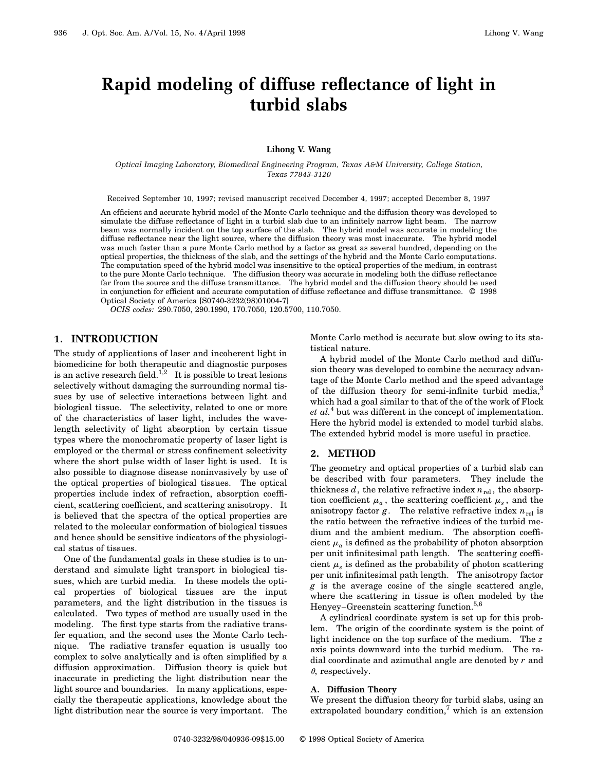# **Rapid modeling of diffuse reflectance of light in turbid slabs**

**Lihong V. Wang**

*Optical Imaging Laboratory, Biomedical Engineering Program, Texas A&M University, College Station, Texas 77843-3120*

Received September 10, 1997; revised manuscript received December 4, 1997; accepted December 8, 1997

An efficient and accurate hybrid model of the Monte Carlo technique and the diffusion theory was developed to simulate the diffuse reflectance of light in a turbid slab due to an infinitely narrow light beam. The narrow beam was normally incident on the top surface of the slab. The hybrid model was accurate in modeling the diffuse reflectance near the light source, where the diffusion theory was most inaccurate. The hybrid model was much faster than a pure Monte Carlo method by a factor as great as several hundred, depending on the optical properties, the thickness of the slab, and the settings of the hybrid and the Monte Carlo computations. The computation speed of the hybrid model was insensitive to the optical properties of the medium, in contrast to the pure Monte Carlo technique. The diffusion theory was accurate in modeling both the diffuse reflectance far from the source and the diffuse transmittance. The hybrid model and the diffusion theory should be used in conjunction for efficient and accurate computation of diffuse reflectance and diffuse transmittance. © 1998 Optical Society of America [S0740-3232(98)01004-7]

*OCIS codes:* 290.7050, 290.1990, 170.7050, 120.5700, 110.7050.

#### **1. INTRODUCTION**

The study of applications of laser and incoherent light in biomedicine for both therapeutic and diagnostic purposes is an active research field.<sup>1,2</sup> It is possible to treat lesions selectively without damaging the surrounding normal tissues by use of selective interactions between light and biological tissue. The selectivity, related to one or more of the characteristics of laser light, includes the wavelength selectivity of light absorption by certain tissue types where the monochromatic property of laser light is employed or the thermal or stress confinement selectivity where the short pulse width of laser light is used. It is also possible to diagnose disease noninvasively by use of the optical properties of biological tissues. The optical properties include index of refraction, absorption coefficient, scattering coefficient, and scattering anisotropy. It is believed that the spectra of the optical properties are related to the molecular conformation of biological tissues and hence should be sensitive indicators of the physiological status of tissues.

One of the fundamental goals in these studies is to understand and simulate light transport in biological tissues, which are turbid media. In these models the optical properties of biological tissues are the input parameters, and the light distribution in the tissues is calculated. Two types of method are usually used in the modeling. The first type starts from the radiative transfer equation, and the second uses the Monte Carlo technique. The radiative transfer equation is usually too complex to solve analytically and is often simplified by a diffusion approximation. Diffusion theory is quick but inaccurate in predicting the light distribution near the light source and boundaries. In many applications, especially the therapeutic applications, knowledge about the light distribution near the source is very important. The

Monte Carlo method is accurate but slow owing to its statistical nature.

A hybrid model of the Monte Carlo method and diffusion theory was developed to combine the accuracy advantage of the Monte Carlo method and the speed advantage of the diffusion theory for semi-infinite turbid media, which had a goal similar to that of the of the work of Flock *et al.*<sup>4</sup> but was different in the concept of implementation. Here the hybrid model is extended to model turbid slabs. The extended hybrid model is more useful in practice.

#### **2. METHOD**

The geometry and optical properties of a turbid slab can be described with four parameters. They include the thickness  $d$ , the relative refractive index  $n_{rel}$ , the absorption coefficient  $\mu_a$ , the scattering coefficient  $\mu_s$ , and the anisotropy factor  $g$ . The relative refractive index  $n_{rel}$  is the ratio between the refractive indices of the turbid medium and the ambient medium. The absorption coefficient  $\mu_a$  is defined as the probability of photon absorption per unit infinitesimal path length. The scattering coefficient  $\mu_s$  is defined as the probability of photon scattering per unit infinitesimal path length. The anisotropy factor *g* is the average cosine of the single scattered angle, where the scattering in tissue is often modeled by the Henyey–Greenstein scattering function.<sup>5,6</sup>

A cylindrical coordinate system is set up for this problem. The origin of the coordinate system is the point of light incidence on the top surface of the medium. The *z* axis points downward into the turbid medium. The radial coordinate and azimuthal angle are denoted by *r* and  $\theta$ , respectively.

#### **A. Diffusion Theory**

We present the diffusion theory for turbid slabs, using an extrapolated boundary condition, $\frac{7}{1}$  which is an extension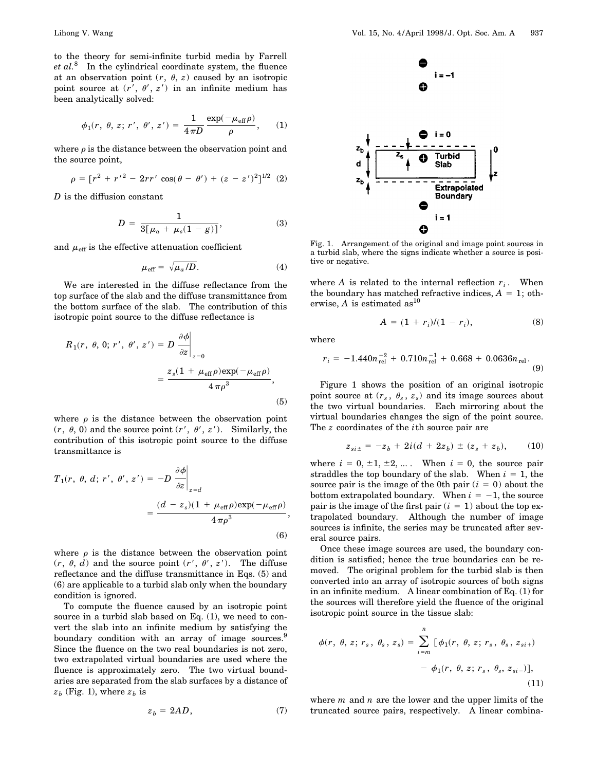to the theory for semi-infinite turbid media by Farrell *et al.*<sup>8</sup> In the cylindrical coordinate system, the fluence at an observation point  $(r, \theta, z)$  caused by an isotropic point source at  $(r', \theta', z')$  in an infinite medium has been analytically solved:

$$
\phi_1(r, \theta, z; r', \theta', z') = \frac{1}{4\pi D} \frac{\exp(-\mu_{\text{eff}} \rho)}{\rho}, \quad (1)
$$

where  $\rho$  is the distance between the observation point and the source point,

$$
\rho = [r^2 + r'^2 - 2rr' \cos(\theta - \theta') + (z - z')^2]^{1/2}
$$
 (2)

*D* is the diffusion constant

$$
D = \frac{1}{3[\mu_a + \mu_s(1 - g)]},
$$
 (3)

and  $\mu_{\text{eff}}$  is the effective attenuation coefficient

$$
\mu_{\text{eff}} = \sqrt{\mu_a/D}.
$$
 (4)

We are interested in the diffuse reflectance from the top surface of the slab and the diffuse transmittance from the bottom surface of the slab. The contribution of this isotropic point source to the diffuse reflectance is

$$
R_1(r, \theta, 0; r', \theta', z') = D \left. \frac{\partial \phi}{\partial z} \right|_{z=0}
$$
  
= 
$$
\frac{z_s (1 + \mu_{\text{eff}} \rho) \exp(-\mu_{\text{eff}} \rho)}{4 \pi \rho^3},
$$
  
(5)

where  $\rho$  is the distance between the observation point  $(r, \theta, 0)$  and the source point  $(r', \theta', z')$ . Similarly, the contribution of this isotropic point source to the diffuse transmittance is

$$
T_1(r, \theta, d; r', \theta', z') = -D \left. \frac{\partial \phi}{\partial z} \right|_{z=d}
$$
  
= 
$$
\frac{(d - z_s)(1 + \mu_{\text{eff}} \rho) \exp(-\mu_{\text{eff}} \rho)}{4 \pi \rho^3},
$$
  
(6)

where  $\rho$  is the distance between the observation point  $(r, \theta, d)$  and the source point  $(r', \theta', z')$ . The diffuse reflectance and the diffuse transmittance in Eqs. (5) and (6) are applicable to a turbid slab only when the boundary condition is ignored.

To compute the fluence caused by an isotropic point source in a turbid slab based on Eq. (1), we need to convert the slab into an infinite medium by satisfying the boundary condition with an array of image sources.<sup>9</sup> Since the fluence on the two real boundaries is not zero, two extrapolated virtual boundaries are used where the fluence is approximately zero. The two virtual boundaries are separated from the slab surfaces by a distance of  $z_b$  (Fig. 1), where  $z_b$  is



Fig. 1. Arrangement of the original and image point sources in a turbid slab, where the signs indicate whether a source is positive or negative.

where *A* is related to the internal reflection  $r_i$ . When the boundary has matched refractive indices,  $A = 1$ ; otherwise,  $A$  is estimated as<sup>10</sup>

$$
A = (1 + r_i)/(1 - r_i), \tag{8}
$$

where

$$
r_i = -1.440n_{\rm rel}^{-2} + 0.710n_{\rm rel}^{-1} + 0.668 + 0.0636n_{\rm rel}.
$$
\n(9)

Figure 1 shows the position of an original isotropic point source at  $(r_s, \theta_s, z_s)$  and its image sources about the two virtual boundaries. Each mirroring about the virtual boundaries changes the sign of the point source. The *z* coordinates of the *i*th source pair are

$$
z_{si\pm} = -z_b + 2i(d + 2z_b) \pm (z_s + z_b), \qquad (10)
$$

where  $i = 0, \pm 1, \pm 2, \ldots$ . When  $i = 0$ , the source pair straddles the top boundary of the slab. When  $i = 1$ , the source pair is the image of the 0th pair  $(i = 0)$  about the bottom extrapolated boundary. When  $i = -1$ , the source pair is the image of the first pair  $(i = 1)$  about the top extrapolated boundary. Although the number of image sources is infinite, the series may be truncated after several source pairs.

Once these image sources are used, the boundary condition is satisfied; hence the true boundaries can be removed. The original problem for the turbid slab is then converted into an array of isotropic sources of both signs in an infinite medium. A linear combination of Eq. (1) for the sources will therefore yield the fluence of the original isotropic point source in the tissue slab:

$$
\phi(r, \theta, z; r_s, \theta_s, z_s) = \sum_{i=m}^{n} [\phi_1(r, \theta, z; r_s, \theta_s, z_{si+}) - \phi_1(r, \theta, z; r_s, \theta_s, z_{si-})],
$$
\n(11)

where *m* and *n* are the lower and the upper limits of the truncated source pairs, respectively. A linear combina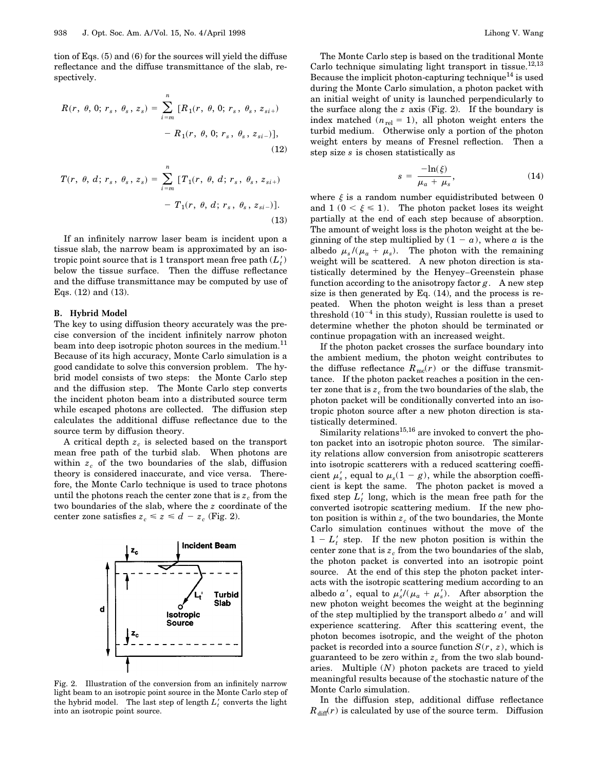tion of Eqs. (5) and (6) for the sources will yield the diffuse reflectance and the diffuse transmittance of the slab, respectively.

$$
R(r, \theta, 0; r_s, \theta_s, z_s) = \sum_{i=m}^{n} [R_1(r, \theta, 0; r_s, \theta_s, z_{si+}) - R_1(r, \theta, 0; r_s, \theta_s, z_{si-})],
$$
\n(12)

$$
T(r, \theta, d; r_s, \theta_s, z_s) = \sum_{i=m}^{n} [T_1(r, \theta, d; r_s, \theta_s, z_{si+}) - T_1(r, \theta, d; r_s, \theta_s, z_{si-})].
$$
\n(13)

If an infinitely narrow laser beam is incident upon a tissue slab, the narrow beam is approximated by an isotropic point source that is  $1$  transport mean free path  $(L_t^{\, \prime})$ below the tissue surface. Then the diffuse reflectance and the diffuse transmittance may be computed by use of Eqs. (12) and (13).

#### **B. Hybrid Model**

The key to using diffusion theory accurately was the precise conversion of the incident infinitely narrow photon beam into deep isotropic photon sources in the medium.<sup>11</sup> Because of its high accuracy, Monte Carlo simulation is a good candidate to solve this conversion problem. The hybrid model consists of two steps: the Monte Carlo step and the diffusion step. The Monte Carlo step converts the incident photon beam into a distributed source term while escaped photons are collected. The diffusion step calculates the additional diffuse reflectance due to the source term by diffusion theory.

A critical depth  $z_c$  is selected based on the transport mean free path of the turbid slab. When photons are within  $z_c$  of the two boundaries of the slab, diffusion theory is considered inaccurate, and vice versa. Therefore, the Monte Carlo technique is used to trace photons until the photons reach the center zone that is  $z_c$  from the two boundaries of the slab, where the *z* coordinate of the center zone satisfies  $z_c \leq z \leq d - z_c$  (Fig. 2).



Fig. 2. Illustration of the conversion from an infinitely narrow light beam to an isotropic point source in the Monte Carlo step of the hybrid model. The last step of length  $L'_t$  converts the light into an isotropic point source.

The Monte Carlo step is based on the traditional Monte Carlo technique simulating light transport in tissue.<sup>12,13</sup> Because the implicit photon-capturing technique<sup>14</sup> is used during the Monte Carlo simulation, a photon packet with an initial weight of unity is launched perpendicularly to the surface along the  $z$  axis (Fig. 2). If the boundary is index matched  $(n_{rel} = 1)$ , all photon weight enters the turbid medium. Otherwise only a portion of the photon weight enters by means of Fresnel reflection. Then a step size *s* is chosen statistically as

$$
s = \frac{-\ln(\xi)}{\mu_a + \mu_s},\tag{14}
$$

where  $\xi$  is a random number equidistributed between 0 and  $1 (0 < \xi \le 1)$ . The photon packet loses its weight partially at the end of each step because of absorption. The amount of weight loss is the photon weight at the beginning of the step multiplied by  $(1 - a)$ , where *a* is the albedo  $\mu_s / (\mu_a + \mu_s)$ . The photon with the remaining weight will be scattered. A new photon direction is statistically determined by the Henyey–Greenstein phase function according to the anisotropy factor *g*. A new step size is then generated by Eq. (14), and the process is repeated. When the photon weight is less than a preset threshold  $(10^{-4}$  in this study), Russian roulette is used to determine whether the photon should be terminated or continue propagation with an increased weight.

If the photon packet crosses the surface boundary into the ambient medium, the photon weight contributes to the diffuse reflectance  $R_{\text{mc}}(r)$  or the diffuse transmittance. If the photon packet reaches a position in the center zone that is  $z_c$  from the two boundaries of the slab, the photon packet will be conditionally converted into an isotropic photon source after a new photon direction is statistically determined.

Similarity relations $^{15,16}$  are invoked to convert the photon packet into an isotropic photon source. The similarity relations allow conversion from anisotropic scatterers into isotropic scatterers with a reduced scattering coefficient  $\mu_s'$ , equal to  $\mu_s(1-g)$ , while the absorption coefficient is kept the same. The photon packet is moved a fixed step  $L'_t$  long, which is the mean free path for the converted isotropic scattering medium. If the new photon position is within  $z_c$  of the two boundaries, the Monte Carlo simulation continues without the move of the  $1 - L'_t$  step. If the new photon position is within the center zone that is  $z_c$  from the two boundaries of the slab, the photon packet is converted into an isotropic point source. At the end of this step the photon packet interacts with the isotropic scattering medium according to an albedo *a'*, equal to  $\mu_s' / (\mu_a + \mu_s')$ . After absorption the new photon weight becomes the weight at the beginning of the step multiplied by the transport albedo  $a'$  and will experience scattering. After this scattering event, the photon becomes isotropic, and the weight of the photon packet is recorded into a source function  $S(r, z)$ , which is guaranteed to be zero within  $z_c$  from the two slab boundaries. Multiple (*N*) photon packets are traced to yield meaningful results because of the stochastic nature of the Monte Carlo simulation.

In the diffusion step, additional diffuse reflectance  $R_{\text{diff}}(r)$  is calculated by use of the source term. Diffusion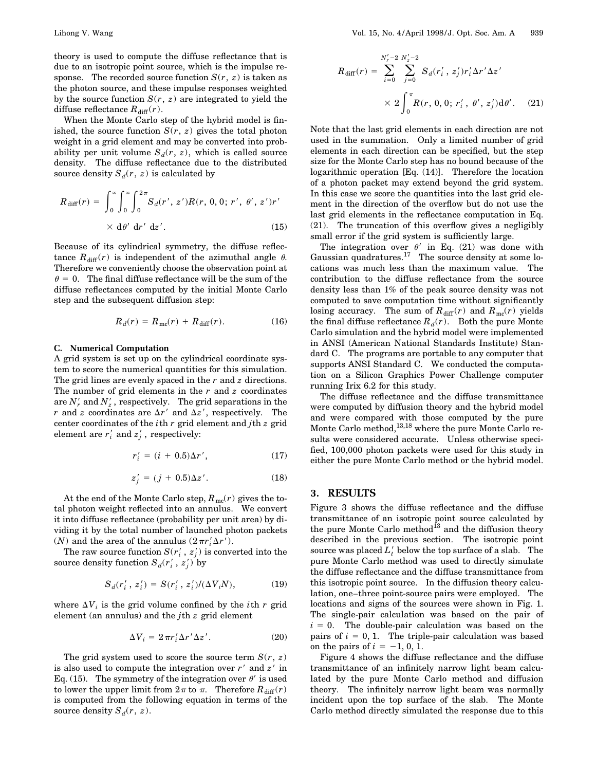theory is used to compute the diffuse reflectance that is due to an isotropic point source, which is the impulse response. The recorded source function  $S(r, z)$  is taken as the photon source, and these impulse responses weighted by the source function  $S(r, z)$  are integrated to yield the diffuse reflectance  $R_{\text{diff}}(r)$ .

When the Monte Carlo step of the hybrid model is finished, the source function  $S(r, z)$  gives the total photon weight in a grid element and may be converted into probability per unit volume  $S_d(r, z)$ , which is called source density. The diffuse reflectance due to the distributed source density  $S_d(r, z)$  is calculated by

$$
R_{\text{diff}}(r) = \int_0^\infty \int_0^\infty \int_0^{2\pi} S_d(r', z') R(r, 0, 0; r', \theta', z') r' \times d\theta' dr' dz'.
$$
 (15)

Because of its cylindrical symmetry, the diffuse reflectance  $R_{\text{diff}}(r)$  is independent of the azimuthal angle  $\theta$ . Therefore we conveniently choose the observation point at  $\theta = 0$ . The final diffuse reflectance will be the sum of the diffuse reflectances computed by the initial Monte Carlo step and the subsequent diffusion step:

$$
R_d(r) = R_{\text{mc}}(r) + R_{\text{diff}}(r). \tag{16}
$$

#### **C. Numerical Computation**

A grid system is set up on the cylindrical coordinate system to score the numerical quantities for this simulation. The grid lines are evenly spaced in the *r* and *z* directions. The number of grid elements in the *r* and *z* coordinates are  $N'_r$  and  $N'_z$ , respectively. The grid separations in the *r* and *z* coordinates are  $\Delta r'$  and  $\Delta z'$ , respectively. The center coordinates of the *i*th *r* grid element and *j*th *z* grid element are  $r_i'$  and  $z_j'$ , respectively:

$$
r_i' = (i + 0.5)\Delta r', \tag{17}
$$

$$
z_j' = (j + 0.5)\Delta z'.\tag{18}
$$

At the end of the Monte Carlo step,  $R_{\text{mc}}(r)$  gives the total photon weight reflected into an annulus. We convert it into diffuse reflectance (probability per unit area) by dividing it by the total number of launched photon packets  $(N)$  and the area of the annulus  $(2\pi r_i^{\prime} \Delta r^{\prime})$ .

The raw source function  $S(r'_i, z'_j)$  is converted into the source density function  $S_d(r'_i, z'_j)$  by

$$
S_d(r'_i, z'_i) = S(r'_i, z'_i) / (\Delta V_i N), \tag{19}
$$

where  $\Delta V_i$  is the grid volume confined by the *i*th *r* grid element (an annulus) and the *j*th *z* grid element

$$
\Delta V_i = 2\pi r'_i \Delta r' \Delta z'.
$$
 (20)

The grid system used to score the source term  $S(r, z)$ is also used to compute the integration over  $r'$  and  $z'$  in Eq. (15). The symmetry of the integration over  $\theta'$  is used to lower the upper limit from  $2\pi$  to  $\pi$ . Therefore  $R_{\text{diff}}(r)$ is computed from the following equation in terms of the source density  $S_d(r, z)$ .

$$
R_{\text{diff}}(r) = \sum_{i=0}^{N_r'-2} \sum_{j=0}^{N_z'-2} S_d(r_i', z_j') r_i' \Delta r' \Delta z'
$$
  
 
$$
\times 2 \int_0^{\pi} R(r, 0, 0; r_i', \theta', z_j') d\theta'. \quad (21)
$$

Note that the last grid elements in each direction are not used in the summation. Only a limited number of grid elements in each direction can be specified, but the step size for the Monte Carlo step has no bound because of the logarithmic operation [Eq. (14)]. Therefore the location of a photon packet may extend beyond the grid system. In this case we score the quantities into the last grid element in the direction of the overflow but do not use the last grid elements in the reflectance computation in Eq. (21). The truncation of this overflow gives a negligibly small error if the grid system is sufficiently large.

The integration over  $\theta'$  in Eq. (21) was done with Gaussian quadratures.<sup>17</sup> The source density at some locations was much less than the maximum value. The contribution to the diffuse reflectance from the source density less than 1% of the peak source density was not computed to save computation time without significantly losing accuracy. The sum of  $R_{\text{diff}}(r)$  and  $R_{\text{mc}}(r)$  yields the final diffuse reflectance  $R_d(r)$ . Both the pure Monte Carlo simulation and the hybrid model were implemented in ANSI (American National Standards Institute) Standard C. The programs are portable to any computer that supports ANSI Standard C. We conducted the computation on a Silicon Graphics Power Challenge computer running Irix 6.2 for this study.

The diffuse reflectance and the diffuse transmittance were computed by diffusion theory and the hybrid model and were compared with those computed by the pure Monte Carlo method,<sup>13,18</sup> where the pure Monte Carlo results were considered accurate. Unless otherwise specified, 100,000 photon packets were used for this study in either the pure Monte Carlo method or the hybrid model.

## **3. RESULTS**

Figure 3 shows the diffuse reflectance and the diffuse transmittance of an isotropic point source calculated by the pure Monte Carlo method<sup>13</sup> and the diffusion theory described in the previous section. The isotropic point source was placed  $L'_t$  below the top surface of a slab. The pure Monte Carlo method was used to directly simulate the diffuse reflectance and the diffuse transmittance from this isotropic point source. In the diffusion theory calculation, one–three point-source pairs were employed. The locations and signs of the sources were shown in Fig. 1. The single-pair calculation was based on the pair of  $i = 0$ . The double-pair calculation was based on the pairs of  $i = 0, 1$ . The triple-pair calculation was based on the pairs of  $i = -1, 0, 1$ .

Figure 4 shows the diffuse reflectance and the diffuse transmittance of an infinitely narrow light beam calculated by the pure Monte Carlo method and diffusion theory. The infinitely narrow light beam was normally incident upon the top surface of the slab. The Monte Carlo method directly simulated the response due to this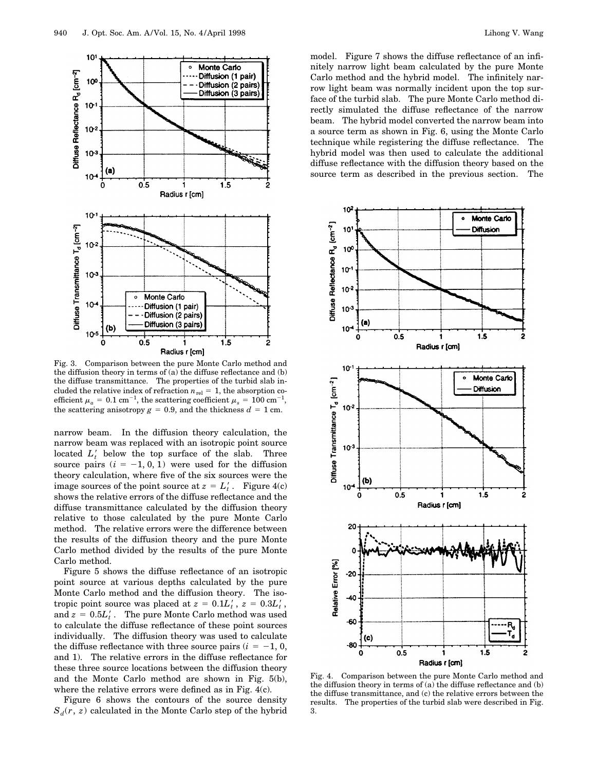

Fig. 3. Comparison between the pure Monte Carlo method and the diffusion theory in terms of (a) the diffuse reflectance and (b) the diffuse transmittance. The properties of the turbid slab included the relative index of refraction  $n_{rel} = 1$ , the absorption coefficient  $\mu_a = 0.1 \text{ cm}^{-1}$ , the scattering coefficient  $\mu_s = 100 \text{ cm}^{-1}$ , the scattering anisotropy  $g = 0.9$ , and the thickness  $d = 1$  cm.

narrow beam. In the diffusion theory calculation, the narrow beam was replaced with an isotropic point source  $\text{located } L'_t$  below the top surface of the slab. Three source pairs  $(i = -1, 0, 1)$  were used for the diffusion theory calculation, where five of the six sources were the image sources of the point source at  $z = L'_t$ . Figure 4(c) shows the relative errors of the diffuse reflectance and the diffuse transmittance calculated by the diffusion theory relative to those calculated by the pure Monte Carlo method. The relative errors were the difference between the results of the diffusion theory and the pure Monte Carlo method divided by the results of the pure Monte Carlo method.

Figure 5 shows the diffuse reflectance of an isotropic point source at various depths calculated by the pure Monte Carlo method and the diffusion theory. The isotropic point source was placed at  $z = 0.1L_t^{\prime}$  ,  $z = 0.3L_t^{\prime}$  , and  $z = 0.5L_t'$  . The pure Monte Carlo method was used to calculate the diffuse reflectance of these point sources individually. The diffusion theory was used to calculate the diffuse reflectance with three source pairs  $(i = -1, 0, ...)$ and 1). The relative errors in the diffuse reflectance for these three source locations between the diffusion theory and the Monte Carlo method are shown in Fig. 5(b), where the relative errors were defined as in Fig. 4(c).

Figure 6 shows the contours of the source density  $S_d(r, z)$  calculated in the Monte Carlo step of the hybrid model. Figure 7 shows the diffuse reflectance of an infinitely narrow light beam calculated by the pure Monte Carlo method and the hybrid model. The infinitely narrow light beam was normally incident upon the top surface of the turbid slab. The pure Monte Carlo method directly simulated the diffuse reflectance of the narrow beam. The hybrid model converted the narrow beam into a source term as shown in Fig. 6, using the Monte Carlo technique while registering the diffuse reflectance. The hybrid model was then used to calculate the additional diffuse reflectance with the diffusion theory based on the source term as described in the previous section. The



Fig. 4. Comparison between the pure Monte Carlo method and the diffusion theory in terms of (a) the diffuse reflectance and (b) the diffuse transmittance, and (c) the relative errors between the results. The properties of the turbid slab were described in Fig. 3.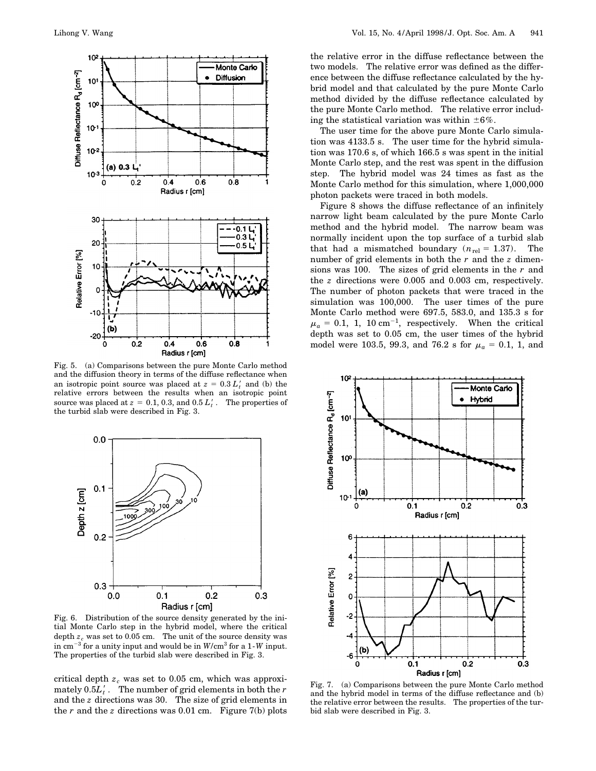

Fig. 5. (a) Comparisons between the pure Monte Carlo method and the diffusion theory in terms of the diffuse reflectance when an isotropic point source was placed at  $z = 0.3 L_t'$  and (b) the relative errors between the results when an isotropic point source was placed at  $z = 0.1, 0.3$ , and  $0.5 L_t'$ . The properties of the turbid slab were described in Fig. 3.



Fig. 6. Distribution of the source density generated by the initial Monte Carlo step in the hybrid model, where the critical depth  $z_c$  was set to 0.05 cm. The unit of the source density was in cm<sup>2</sup><sup>3</sup> for a unity input and would be in *W*/cm<sup>3</sup> for a 1-*W* input. The properties of the turbid slab were described in Fig. 3.

critical depth  $z_c$  was set to 0.05 cm, which was approximately  $0.5L_t'$ . The number of grid elements in both the  $r$ and the *z* directions was 30. The size of grid elements in the  $r$  and the  $z$  directions was 0.01 cm. Figure 7(b) plots the relative error in the diffuse reflectance between the two models. The relative error was defined as the difference between the diffuse reflectance calculated by the hybrid model and that calculated by the pure Monte Carlo method divided by the diffuse reflectance calculated by the pure Monte Carlo method. The relative error including the statistical variation was within  $\pm 6\%$ .

The user time for the above pure Monte Carlo simulation was 4133.5 s. The user time for the hybrid simulation was 170.6 s, of which 166.5 s was spent in the initial Monte Carlo step, and the rest was spent in the diffusion step. The hybrid model was 24 times as fast as the Monte Carlo method for this simulation, where 1,000,000 photon packets were traced in both models.

Figure 8 shows the diffuse reflectance of an infinitely narrow light beam calculated by the pure Monte Carlo method and the hybrid model. The narrow beam was normally incident upon the top surface of a turbid slab that had a mismatched boundary  $(n_{rel} = 1.37)$ . The number of grid elements in both the *r* and the *z* dimensions was 100. The sizes of grid elements in the *r* and the *z* directions were 0.005 and 0.003 cm, respectively. The number of photon packets that were traced in the simulation was 100,000. The user times of the pure Monte Carlo method were 697.5, 583.0, and 135.3 s for  $\mu_a = 0.1, 1, 10 \text{ cm}^{-1}$ , respectively. When the critical depth was set to 0.05 cm, the user times of the hybrid model were 103.5, 99.3, and 76.2 s for  $\mu_a = 0.1$ , 1, and



Fig. 7. (a) Comparisons between the pure Monte Carlo method and the hybrid model in terms of the diffuse reflectance and (b) the relative error between the results. The properties of the turbid slab were described in Fig. 3.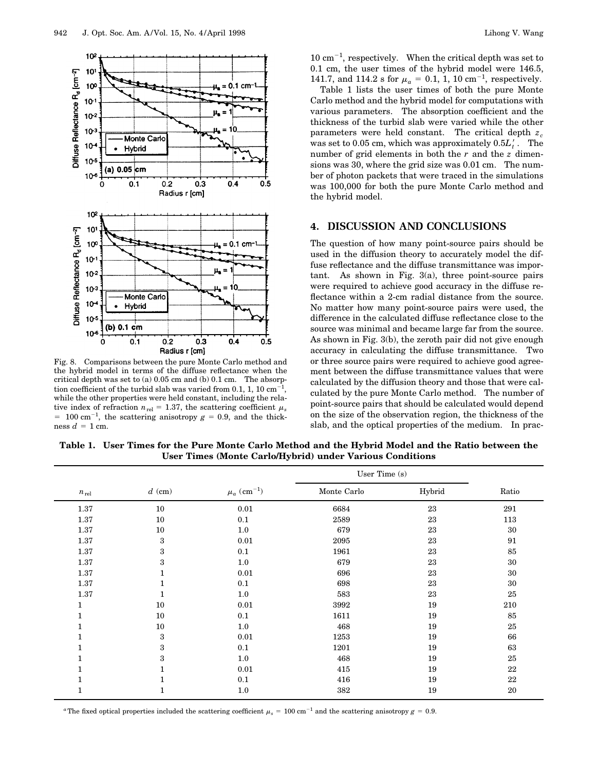

Fig. 8. Comparisons between the pure Monte Carlo method and the hybrid model in terms of the diffuse reflectance when the critical depth was set to (a) 0.05 cm and (b) 0.1 cm. The absorption coefficient of the turbid slab was varied from 0.1, 1, 10  $\text{cm}^{-1}$ , while the other properties were held constant, including the relative index of refraction  $n_{rel} = 1.37$ , the scattering coefficient  $\mu_s$  $= 100 \text{ cm}^{-1}$ , the scattering anisotropy  $g = 0.9$ , and the thickness  $d = 1$  cm.

 $10 \text{ cm}^{-1}$ , respectively. When the critical depth was set to 0.1 cm, the user times of the hybrid model were 146.5, 141.7, and 114.2 s for  $\mu_a = 0.1, 1, 10 \text{ cm}^{-1}$ , respectively.

Table 1 lists the user times of both the pure Monte Carlo method and the hybrid model for computations with various parameters. The absorption coefficient and the thickness of the turbid slab were varied while the other parameters were held constant. The critical depth  $z_c$ was set to 0.05 cm, which was approximately  $0.5L_t'$ . The number of grid elements in both the *r* and the *z* dimensions was 30, where the grid size was 0.01 cm. The number of photon packets that were traced in the simulations was 100,000 for both the pure Monte Carlo method and the hybrid model.

## **4. DISCUSSION AND CONCLUSIONS**

The question of how many point-source pairs should be used in the diffusion theory to accurately model the diffuse reflectance and the diffuse transmittance was important. As shown in Fig. 3(a), three point-source pairs were required to achieve good accuracy in the diffuse reflectance within a 2-cm radial distance from the source. No matter how many point-source pairs were used, the difference in the calculated diffuse reflectance close to the source was minimal and became large far from the source. As shown in Fig. 3(b), the zeroth pair did not give enough accuracy in calculating the diffuse transmittance. Two or three source pairs were required to achieve good agreement between the diffuse transmittance values that were calculated by the diffusion theory and those that were calculated by the pure Monte Carlo method. The number of point-source pairs that should be calculated would depend on the size of the observation region, the thickness of the slab, and the optical properties of the medium. In prac-

**Table 1. User Times for the Pure Monte Carlo Method and the Hybrid Model and the Ratio between the User Times (Monte Carlo/Hybrid) under Various Conditions**

|                  |          |                             | User Time (s) |        |       |
|------------------|----------|-----------------------------|---------------|--------|-------|
| $n_{\text{rel}}$ | $d$ (cm) | $\mu_a$ (cm <sup>-1</sup> ) | Monte Carlo   | Hybrid | Ratio |
| 1.37             | 10       | 0.01                        | 6684          | 23     | 291   |
| 1.37             | 10       | 0.1                         | 2589          | 23     | 113   |
| 1.37             | 10       | 1.0                         | 679           | 23     | 30    |
| 1.37             | 3        | 0.01                        | 2095          | 23     | 91    |
| 1.37             | 3        | 0.1                         | 1961          | 23     | 85    |
| 1.37             | 3        | 1.0                         | 679           | 23     | 30    |
| 1.37             | 1        | 0.01                        | 696           | 23     | 30    |
| 1.37             |          | 0.1                         | 698           | 23     | 30    |
| 1.37             | 1        | 1.0                         | 583           | 23     | 25    |
| 1                | 10       | 0.01                        | 3992          | 19     | 210   |
|                  | 10       | 0.1                         | 1611          | 19     | 85    |
|                  | 10       | $1.0\,$                     | 468           | 19     | 25    |
| 1                | 3        | 0.01                        | 1253          | 19     | 66    |
|                  | 3        | 0.1                         | 1201          | 19     | 63    |
|                  | 3        | $1.0\,$                     | 468           | 19     | 25    |
|                  |          | 0.01                        | 415           | 19     | 22    |
|                  | 1        | 0.1                         | 416           | 19     | 22    |
|                  | 1        | 1.0                         | 382           | 19     | 20    |

<sup>*a*</sup>The fixed optical properties included the scattering coefficient  $\mu_s = 100 \text{ cm}^{-1}$  and the scattering anisotropy *g* = 0.9.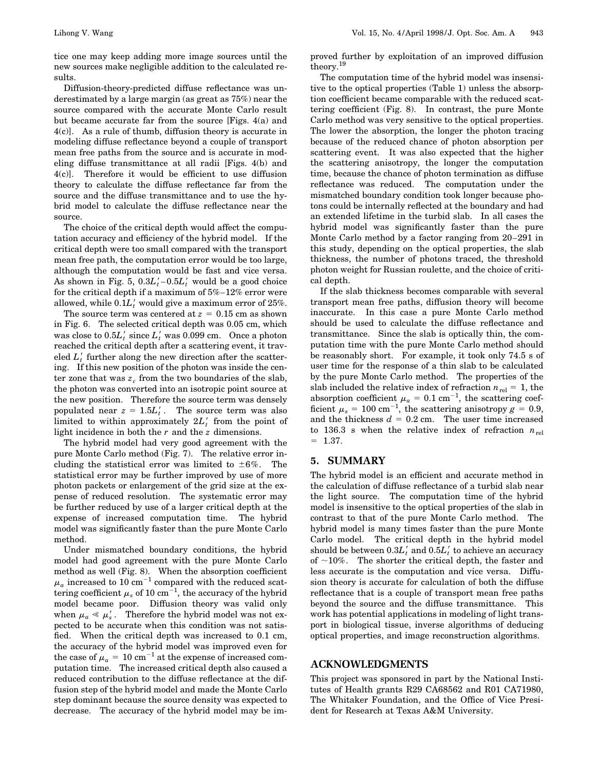tice one may keep adding more image sources until the new sources make negligible addition to the calculated results.

Diffusion-theory-predicted diffuse reflectance was underestimated by a large margin (as great as 75%) near the source compared with the accurate Monte Carlo result but became accurate far from the source [Figs. 4(a) and 4(c)]. As a rule of thumb, diffusion theory is accurate in modeling diffuse reflectance beyond a couple of transport mean free paths from the source and is accurate in modeling diffuse transmittance at all radii [Figs. 4(b) and 4(c)]. Therefore it would be efficient to use diffusion theory to calculate the diffuse reflectance far from the source and the diffuse transmittance and to use the hybrid model to calculate the diffuse reflectance near the source.

The choice of the critical depth would affect the computation accuracy and efficiency of the hybrid model. If the critical depth were too small compared with the transport mean free path, the computation error would be too large, although the computation would be fast and vice versa. As shown in Fig. 5,  $0.3L_t' - 0.5L_t'$  would be a good choice for the critical depth if a maximum of 5%–12% error were allowed, while  $0.1L_t'$  would give a maximum error of  $25\%.$ 

The source term was centered at  $z = 0.15$  cm as shown in Fig. 6. The selected critical depth was 0.05 cm, which was close to  $0.5L_t'$  since  $L_t'$  was 0.099 cm. Once a photon reached the critical depth after a scattering event, it traveled  $L'_t$  further along the new direction after the scattering. If this new position of the photon was inside the center zone that was  $z_c$  from the two boundaries of the slab, the photon was converted into an isotropic point source at the new position. Therefore the source term was densely populated near  $z = 1.5L_t'$ . The source term was also limited to within approximately  $2L_t'$  from the point of light incidence in both the *r* and the *z* dimensions.

The hybrid model had very good agreement with the pure Monte Carlo method (Fig. 7). The relative error including the statistical error was limited to  $\pm 6\%$ . The statistical error may be further improved by use of more photon packets or enlargement of the grid size at the expense of reduced resolution. The systematic error may be further reduced by use of a larger critical depth at the expense of increased computation time. The hybrid model was significantly faster than the pure Monte Carlo method.

Under mismatched boundary conditions, the hybrid model had good agreement with the pure Monte Carlo method as well (Fig. 8). When the absorption coefficient  $\mu_a$  increased to 10 cm<sup>-1</sup> compared with the reduced scattering coefficient  $\mu_s$  of 10 cm $^{-1}$ , the accuracy of the hybrid model became poor. Diffusion theory was valid only when  $\mu_a \ll \mu_s'$ . Therefore the hybrid model was not expected to be accurate when this condition was not satisfied. When the critical depth was increased to 0.1 cm, the accuracy of the hybrid model was improved even for the case of  $\mu_a = 10 \text{ cm}^{-1}$  at the expense of increased computation time. The increased critical depth also caused a reduced contribution to the diffuse reflectance at the diffusion step of the hybrid model and made the Monte Carlo step dominant because the source density was expected to decrease. The accuracy of the hybrid model may be improved further by exploitation of an improved diffusion theory.<sup>19</sup>

The computation time of the hybrid model was insensitive to the optical properties (Table 1) unless the absorption coefficient became comparable with the reduced scattering coefficient (Fig. 8). In contrast, the pure Monte Carlo method was very sensitive to the optical properties. The lower the absorption, the longer the photon tracing because of the reduced chance of photon absorption per scattering event. It was also expected that the higher the scattering anisotropy, the longer the computation time, because the chance of photon termination as diffuse reflectance was reduced. The computation under the mismatched boundary condition took longer because photons could be internally reflected at the boundary and had an extended lifetime in the turbid slab. In all cases the hybrid model was significantly faster than the pure Monte Carlo method by a factor ranging from 20–291 in this study, depending on the optical properties, the slab thickness, the number of photons traced, the threshold photon weight for Russian roulette, and the choice of critical depth.

If the slab thickness becomes comparable with several transport mean free paths, diffusion theory will become inaccurate. In this case a pure Monte Carlo method should be used to calculate the diffuse reflectance and transmittance. Since the slab is optically thin, the computation time with the pure Monte Carlo method should be reasonably short. For example, it took only 74.5 s of user time for the response of a thin slab to be calculated by the pure Monte Carlo method. The properties of the slab included the relative index of refraction  $n_{rel} = 1$ , the absorption coefficient  $\mu_a = 0.1 \text{ cm}^{-1}$ , the scattering coefficient  $\mu_s = 100 \text{ cm}^{-1}$ , the scattering anisotropy  $g = 0.9$ , and the thickness  $d = 0.2$  cm. The user time increased to 136.3 s when the relative index of refraction  $n_{rel}$  $= 1.37.$ 

## **5. SUMMARY**

The hybrid model is an efficient and accurate method in the calculation of diffuse reflectance of a turbid slab near the light source. The computation time of the hybrid model is insensitive to the optical properties of the slab in contrast to that of the pure Monte Carlo method. The hybrid model is many times faster than the pure Monte Carlo model. The critical depth in the hybrid model  ${\rm should}$  be between  $0.3L_t^\prime$  and  $0.5L_t^\prime$  to achieve an accuracy of  $~10\%$ . The shorter the critical depth, the faster and less accurate is the computation and vice versa. Diffusion theory is accurate for calculation of both the diffuse reflectance that is a couple of transport mean free paths beyond the source and the diffuse transmittance. This work has potential applications in modeling of light transport in biological tissue, inverse algorithms of deducing optical properties, and image reconstruction algorithms.

#### **ACKNOWLEDGMENTS**

This project was sponsored in part by the National Institutes of Health grants R29 CA68562 and R01 CA71980, The Whitaker Foundation, and the Office of Vice President for Research at Texas A&M University.